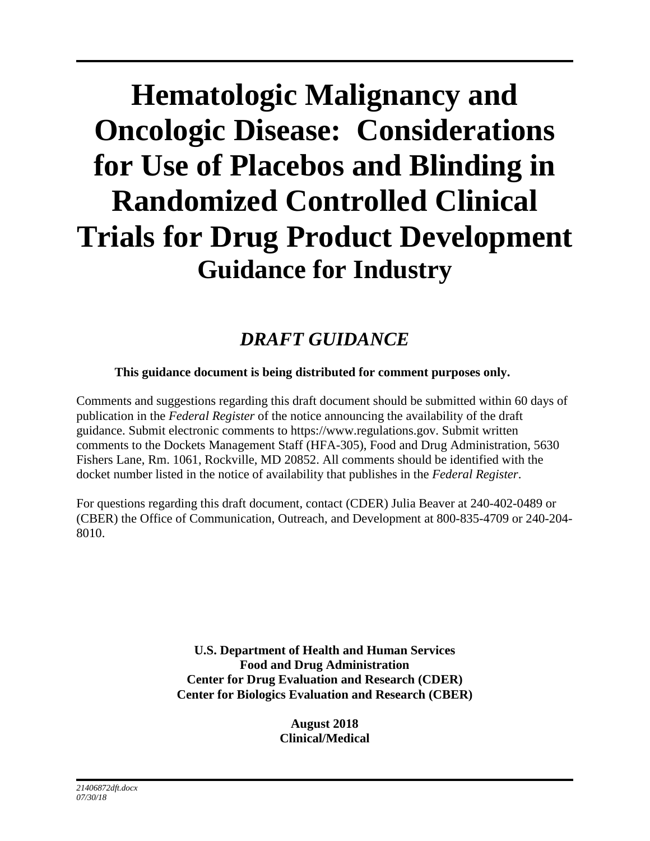# **Hematologic Malignancy and Oncologic Disease: Considerations for Use of Placebos and Blinding in Randomized Controlled Clinical Trials for Drug Product Development Guidance for Industry**

### *DRAFT GUIDANCE*

#### **This guidance document is being distributed for comment purposes only.**

Comments and suggestions regarding this draft document should be submitted within 60 days of publication in the *Federal Register* of the notice announcing the availability of the draft guidance. Submit electronic comments to https://www.regulations.gov. Submit written comments to the Dockets Management Staff (HFA-305), Food and Drug Administration, 5630 Fishers Lane, Rm. 1061, Rockville, MD 20852. All comments should be identified with the docket number listed in the notice of availability that publishes in the *Federal Register*.

For questions regarding this draft document, contact (CDER) Julia Beaver at 240-402-0489 or (CBER) the Office of Communication, Outreach, and Development at 800-835-4709 or 240-204- 8010.

> **U.S. Department of Health and Human Services Food and Drug Administration Center for Drug Evaluation and Research (CDER) Center for Biologics Evaluation and Research (CBER)**

> > **August 2018 Clinical/Medical**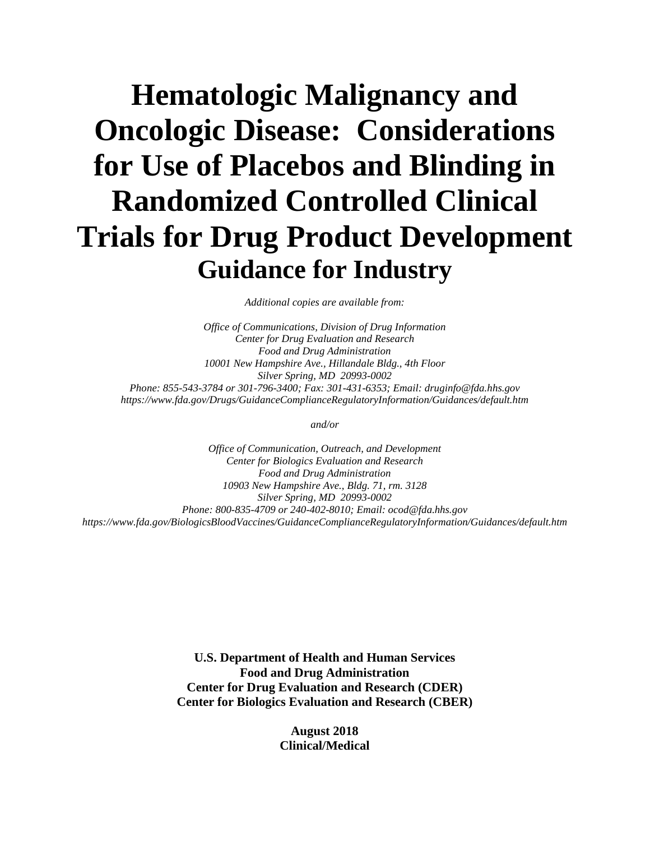## **Hematologic Malignancy and Oncologic Disease: Considerations for Use of Placebos and Blinding in Randomized Controlled Clinical Trials for Drug Product Development Guidance for Industry**

*Additional copies are available from:*

*Office of Communications, Division of Drug Information Center for Drug Evaluation and Research Food and Drug Administration 10001 New Hampshire Ave., Hillandale Bldg., 4th Floor Silver Spring, MD 20993-0002 Phone: 855-543-3784 or 301-796-3400; Fax: 301-431-6353; Email: druginfo@fda.hhs.gov https://www.fda.gov/Drugs/GuidanceComplianceRegulatoryInformation/Guidances/default.htm*

*and/or*

*Office of Communication, Outreach, and Development Center for Biologics Evaluation and Research Food and Drug Administration 10903 New Hampshire Ave., Bldg. 71, rm. 3128 Silver Spring, MD 20993-0002 Phone: 800-835-4709 or 240-402-8010; Email: ocod@fda.hhs.gov https://www.fda.gov/BiologicsBloodVaccines/GuidanceComplianceRegulatoryInformation/Guidances/default.htm*

> **U.S. Department of Health and Human Services Food and Drug Administration Center for Drug Evaluation and Research (CDER) Center for Biologics Evaluation and Research (CBER)**

> > **August 2018 Clinical/Medical**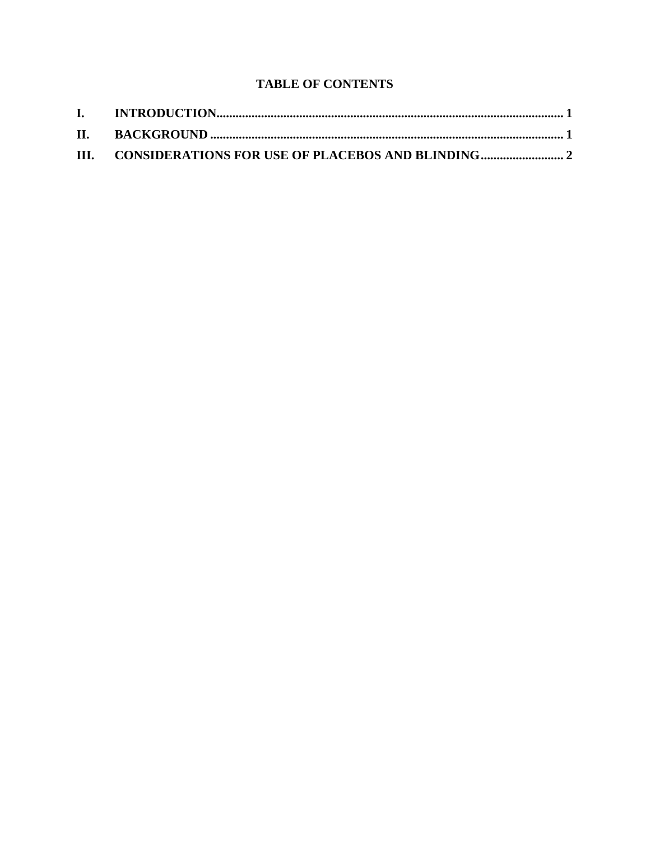#### **TABLE OF CONTENTS**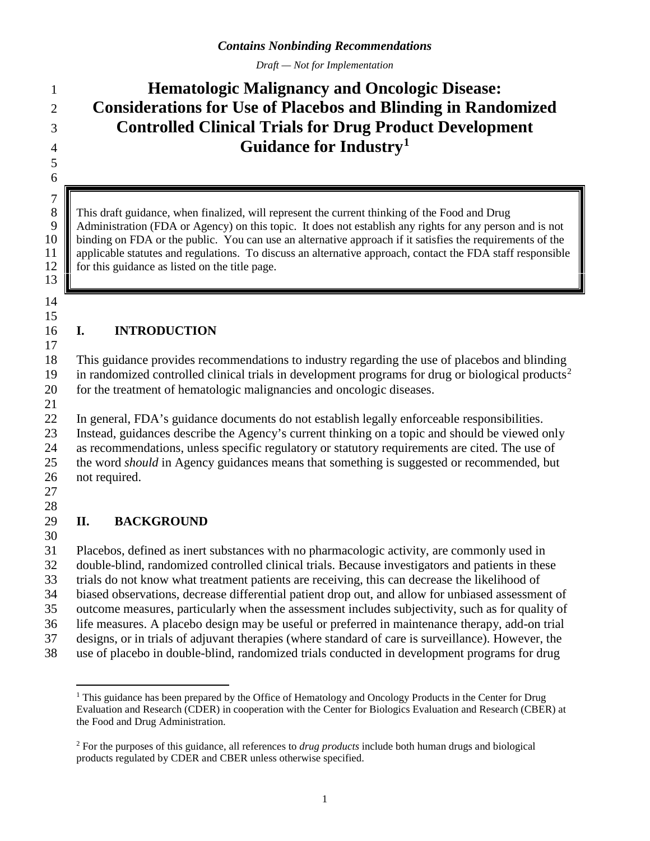*Draft — Not for Implementation*

### **Hematologic Malignancy and Oncologic Disease: Considerations for Use of Placebos and Blinding in Randomized Controlled Clinical Trials for Drug Product Development Guidance for Industry[1](#page-3-0)**

8 This draft guidance, when finalized, will represent the current thinking of the Food and Drug<br>9 Administration (FDA or Agency) on this topic. It does not establish any rights for any person Administration (FDA or Agency) on this topic. It does not establish any rights for any person and is not 10 binding on FDA or the public. You can use an alternative approach if it satisfies the requirements of the applicable statutes and regulations. To discuss an alternative approach, contact the FDA staff responsible **for this guidance as listed on the title page.** 

#### **I. INTRODUCTION**

 This guidance provides recommendations to industry regarding the use of placebos and blinding 19 in randomized controlled clinical trials in development programs for drug or biological products<sup>[2](#page-3-1)</sup> for the treatment of hematologic malignancies and oncologic diseases.

 

 $\begin{array}{c} 7 \\ 8 \end{array}$ 

 

 In general, FDA's guidance documents do not establish legally enforceable responsibilities. Instead, guidances describe the Agency's current thinking on a topic and should be viewed only as recommendations, unless specific regulatory or statutory requirements are cited. The use of the word *should* in Agency guidances means that something is suggested or recommended, but not required.

 

#### **II. BACKGROUND**

 Placebos, defined as inert substances with no pharmacologic activity, are commonly used in double-blind, randomized controlled clinical trials. Because investigators and patients in these trials do not know what treatment patients are receiving, this can decrease the likelihood of biased observations, decrease differential patient drop out, and allow for unbiased assessment of outcome measures, particularly when the assessment includes subjectivity, such as for quality of life measures. A placebo design may be useful or preferred in maintenance therapy, add-on trial designs, or in trials of adjuvant therapies (where standard of care is surveillance). However, the use of placebo in double-blind, randomized trials conducted in development programs for drug

<span id="page-3-0"></span><sup>&</sup>lt;sup>1</sup> This guidance has been prepared by the Office of Hematology and Oncology Products in the Center for Drug Evaluation and Research (CDER) in cooperation with the Center for Biologics Evaluation and Research (CBER) at the Food and Drug Administration.

<span id="page-3-1"></span> For the purposes of this guidance, all references to *drug products* include both human drugs and biological products regulated by CDER and CBER unless otherwise specified.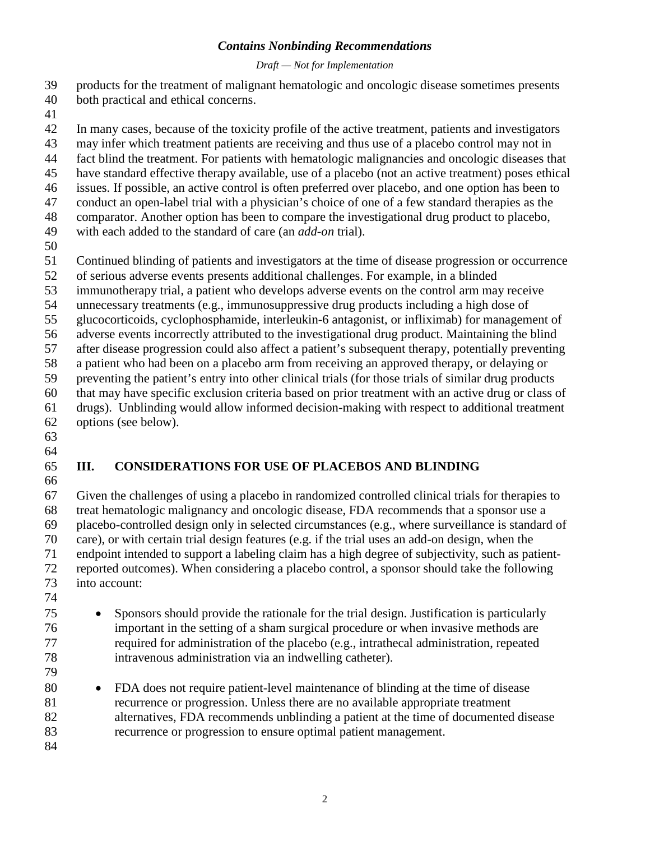#### *Contains Nonbinding Recommendations*

#### *Draft — Not for Implementation*

- products for the treatment of malignant hematologic and oncologic disease sometimes presents both practical and ethical concerns.
- 

 In many cases, because of the toxicity profile of the active treatment, patients and investigators may infer which treatment patients are receiving and thus use of a placebo control may not in fact blind the treatment. For patients with hematologic malignancies and oncologic diseases that have standard effective therapy available, use of a placebo (not an active treatment) poses ethical issues. If possible, an active control is often preferred over placebo, and one option has been to conduct an open-label trial with a physician's choice of one of a few standard therapies as the

comparator. Another option has been to compare the investigational drug product to placebo,

- with each added to the standard of care (an *add-on* trial).
- 

Continued blinding of patients and investigators at the time of disease progression or occurrence

of serious adverse events presents additional challenges. For example, in a blinded

immunotherapy trial, a patient who develops adverse events on the control arm may receive

unnecessary treatments (e.g., immunosuppressive drug products including a high dose of

glucocorticoids, cyclophosphamide, interleukin-6 antagonist, or infliximab) for management of

adverse events incorrectly attributed to the investigational drug product. Maintaining the blind

after disease progression could also affect a patient's subsequent therapy, potentially preventing

a patient who had been on a placebo arm from receiving an approved therapy, or delaying or

 preventing the patient's entry into other clinical trials (for those trials of similar drug products that may have specific exclusion criteria based on prior treatment with an active drug or class of

drugs). Unblinding would allow informed decision-making with respect to additional treatment

- options (see below).
- 

#### **III. CONSIDERATIONS FOR USE OF PLACEBOS AND BLINDING**

 Given the challenges of using a placebo in randomized controlled clinical trials for therapies to treat hematologic malignancy and oncologic disease, FDA recommends that a sponsor use a placebo-controlled design only in selected circumstances (e.g., where surveillance is standard of care), or with certain trial design features (e.g. if the trial uses an add-on design, when the endpoint intended to support a labeling claim has a high degree of subjectivity, such as patient- reported outcomes). When considering a placebo control, a sponsor should take the following into account:

- 
- Sponsors should provide the rationale for the trial design. Justification is particularly important in the setting of a sham surgical procedure or when invasive methods are required for administration of the placebo (e.g., intrathecal administration, repeated intravenous administration via an indwelling catheter).
- 

 • FDA does not require patient-level maintenance of blinding at the time of disease recurrence or progression. Unless there are no available appropriate treatment alternatives, FDA recommends unblinding a patient at the time of documented disease recurrence or progression to ensure optimal patient management.